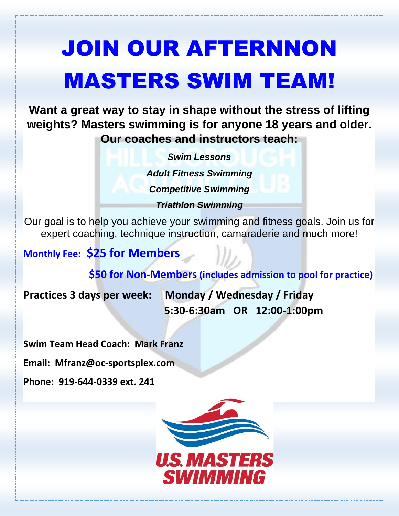# JOIN OUR AFTERNNON MASTERS SWIM TEAM!

**Want a great way to stay in shape without the stress of lifting weights? Masters swimming is for anyone 18 years and older. Our coaches and instructors teach:**

> *Swim Lessons Adult Fitness Swimming Competitive Swimming Triathlon Swimming*

Our goal is to help you achieve your swimming and fitness goals. Join us for expert coaching, technique instruction, camaraderie and much more!

## **Monthly Fee: \$25 for Members**

 **\$50 for Non-Members (includes admission to pool for practice)**

**Practices 3 days per week: Monday / Wednesday / Friday 5:30-6:30am OR 12:00-1:00pm**

**Swim Team Head Coach: Mark Franz**

**Email: Mfranz@oc-sportsplex.com**

**Phone: 919-644-0339 ext. 241**